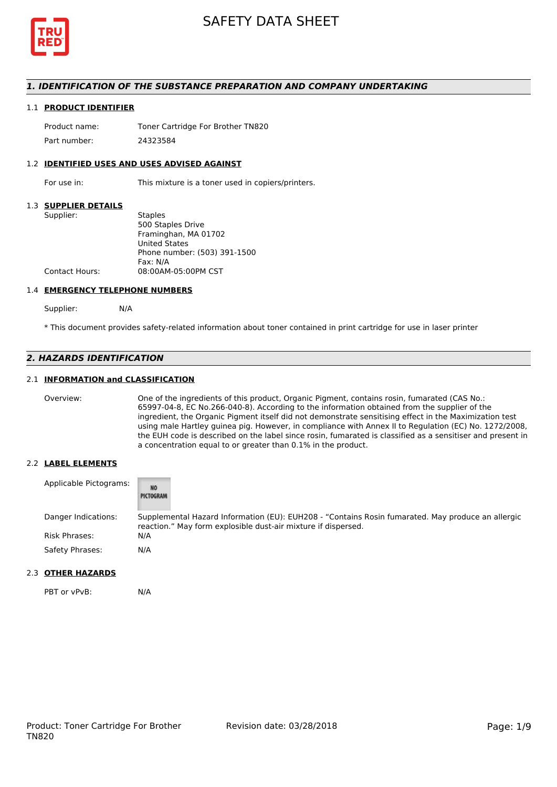

### *1. IDENTIFICATION OF THE SUBSTANCE PREPARATION AND COMPANY UNDERTAKING*

#### 1.1 **PRODUCT IDENTIFIER**

Product name: Toner Cartridge For Brother TN820 Part number: 24323584

#### 1.2 **IDENTIFIED USES AND USES ADVISED AGAINST**

For use in: This mixture is a toner used in copiers/printers.

#### 1.3 **SUPPLIER DETAILS**

| Supplier:             | <b>Staples</b>               |
|-----------------------|------------------------------|
|                       | 500 Staples Drive            |
|                       | Framinghan, MA 01702         |
|                       | <b>United States</b>         |
|                       | Phone number: (503) 391-1500 |
|                       | Fax: N/A                     |
| <b>Contact Hours:</b> | 08:00AM-05:00PM CST          |
|                       |                              |

#### 1.4 **EMERGENCY TELEPHONE NUMBERS**

Supplier: N/A

\* This document provides safety-related information about toner contained in print cartridge for use in laser printer

# *2. HAZARDS IDENTIFICATION*

### 2.1 **INFORMATION and CLASSIFICATION**

Overview: One of the ingredients of this product, Organic Pigment, contains rosin, fumarated (CAS No.: 65997-04-8, EC No.266-040-8). According to the information obtained from the supplier of the ingredient, the Organic Pigment itself did not demonstrate sensitising effect in the Maximization test using male Hartley guinea pig. However, in compliance with Annex II to Regulation (EC) No. 1272/2008, the EUH code is described on the label since rosin, fumarated is classified as a sensitiser and present in a concentration equal to or greater than 0.1% in the product.

#### 2.2 **LABEL ELEMENTS**

| Applicable Pictograms: | <b>NO</b><br>PICTOGRAM                                                                                                                                             |
|------------------------|--------------------------------------------------------------------------------------------------------------------------------------------------------------------|
| Danger Indications:    | Supplemental Hazard Information (EU): EUH208 - "Contains Rosin fumarated. May produce an allergic<br>reaction." May form explosible dust-air mixture if dispersed. |
| Risk Phrases:          | N/A                                                                                                                                                                |
| Safety Phrases:        | N/A                                                                                                                                                                |

#### 2.3 **OTHER HAZARDS**

PBT or vPvB: N/A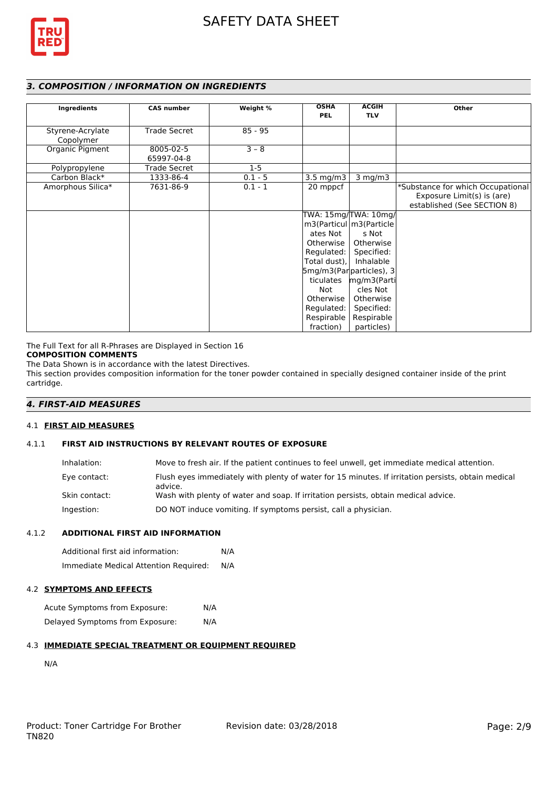

# *3. COMPOSITION / INFORMATION ON INGREDIENTS*

| Ingredients                   | <b>CAS number</b>       | Weight %  | <b>OSHA</b>                                                                                                                         | <b>ACGIH</b>                                                                                                                                                                                                        | Other                                                                                          |
|-------------------------------|-------------------------|-----------|-------------------------------------------------------------------------------------------------------------------------------------|---------------------------------------------------------------------------------------------------------------------------------------------------------------------------------------------------------------------|------------------------------------------------------------------------------------------------|
|                               |                         |           | <b>PEL</b>                                                                                                                          | <b>TLV</b>                                                                                                                                                                                                          |                                                                                                |
| Styrene-Acrylate<br>Copolymer | <b>Trade Secret</b>     | $85 - 95$ |                                                                                                                                     |                                                                                                                                                                                                                     |                                                                                                |
| Organic Pigment               | 8005-02-5<br>65997-04-8 | $3 - 8$   |                                                                                                                                     |                                                                                                                                                                                                                     |                                                                                                |
| Polypropylene                 | <b>Trade Secret</b>     | $1-5$     |                                                                                                                                     |                                                                                                                                                                                                                     |                                                                                                |
| Carbon Black*                 | 1333-86-4               | $0.1 - 5$ | $3.5 \text{ mg/m}$                                                                                                                  | $3$ mg/m $3$                                                                                                                                                                                                        |                                                                                                |
| Amorphous Silica*             | 7631-86-9               | $0.1 - 1$ | 20 mppcf                                                                                                                            |                                                                                                                                                                                                                     | *Substance for which Occupational<br>Exposure Limit(s) is (are)<br>established (See SECTION 8) |
|                               |                         |           | ates Not<br>Otherwise I<br>Regulated:  <br>Total dust),<br>ticulates<br>Not<br>Otherwise<br>Regulated:  <br>Respirable<br>fraction) | TWA: 15mg/TWA: 10mg/<br>m3(Particul   m3(Particle<br>s Not<br>Otherwise<br>Specified:<br>Inhalable<br>$5mg/m3(Par particles)$ , 3<br>mg/m3(Parti<br>cles Not<br>Otherwise<br>Specified:<br>Respirable<br>particles) |                                                                                                |

The Full Text for all R-Phrases are Displayed in Section 16

# **COMPOSITION COMMENTS**

The Data Shown is in accordance with the latest Directives.

This section provides composition information for the toner powder contained in specially designed container inside of the print cartridge.

# *4. FIRST-AID MEASURES*

## 4.1 **FIRST AID MEASURES**

## 4.1.1 **FIRST AID INSTRUCTIONS BY RELEVANT ROUTES OF EXPOSURE**

| Inhalation:   | Move to fresh air. If the patient continues to feel unwell, get immediate medical attention.                  |
|---------------|---------------------------------------------------------------------------------------------------------------|
| Eye contact:  | Flush eyes immediately with plenty of water for 15 minutes. If irritation persists, obtain medical<br>advice. |
| Skin contact: | Wash with plenty of water and soap. If irritation persists, obtain medical advice.                            |
| Ingestion:    | DO NOT induce vomiting. If symptoms persist, call a physician.                                                |

# 4.1.2 **ADDITIONAL FIRST AID INFORMATION**

Additional first aid information: N/A Immediate Medical Attention Required: N/A

# 4.2 **SYMPTOMS AND EFFECTS**

Acute Symptoms from Exposure: N/A Delayed Symptoms from Exposure: N/A

# 4.3 **IMMEDIATE SPECIAL TREATMENT OR EQUIPMENT REQUIRED**

N/A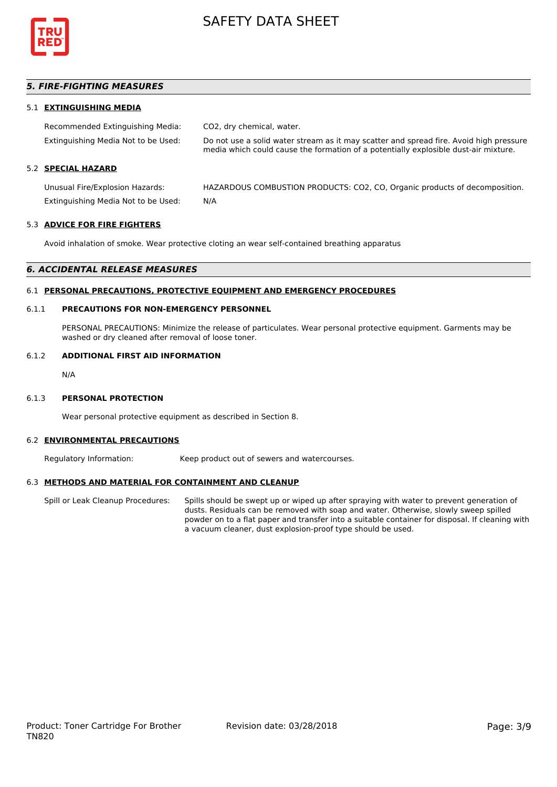

## *5. FIRE-FIGHTING MEASURES*

### 5.1 **EXTINGUISHING MEDIA**

| Recommended Extinguishing Media:    | CO2, dry chemical, water.                                                                                                                                                     |
|-------------------------------------|-------------------------------------------------------------------------------------------------------------------------------------------------------------------------------|
| Extinguishing Media Not to be Used: | Do not use a solid water stream as it may scatter and spread fire. Avoid high pressure<br>media which could cause the formation of a potentially explosible dust-air mixture. |
| 5.2 SPECIAL HAZARD                  |                                                                                                                                                                               |
| Unusual Fire/Explosion Hazards:     | HAZARDOUS COMBUSTION PRODUCTS: CO2, CO, Organic products of decomposition.                                                                                                    |
| Extinguishing Media Not to be Used: | N/A                                                                                                                                                                           |

#### 5.3 **ADVICE FOR FIRE FIGHTERS**

Avoid inhalation of smoke. Wear protective cloting an wear self-contained breathing apparatus

#### *6. ACCIDENTAL RELEASE MEASURES*

#### 6.1 **PERSONAL PRECAUTIONS, PROTECTIVE EQUIPMENT AND EMERGENCY PROCEDURES**

#### 6.1.1 **PRECAUTIONS FOR NON-EMERGENCY PERSONNEL**

PERSONAL PRECAUTIONS: Minimize the release of particulates. Wear personal protective equipment. Garments may be washed or dry cleaned after removal of loose toner.

#### 6.1.2 **ADDITIONAL FIRST AID INFORMATION**

N/A

#### 6.1.3 **PERSONAL PROTECTION**

Wear personal protective equipment as described in Section 8.

#### 6.2 **ENVIRONMENTAL PRECAUTIONS**

Regulatory Information: Keep product out of sewers and watercourses.

#### 6.3 **METHODS AND MATERIAL FOR CONTAINMENT AND CLEANUP**

Spill or Leak Cleanup Procedures: Spills should be swept up or wiped up after spraying with water to prevent generation of dusts. Residuals can be removed with soap and water. Otherwise, slowly sweep spilled powder on to a flat paper and transfer into a suitable container for disposal. If cleaning with a vacuum cleaner, dust explosion-proof type should be used.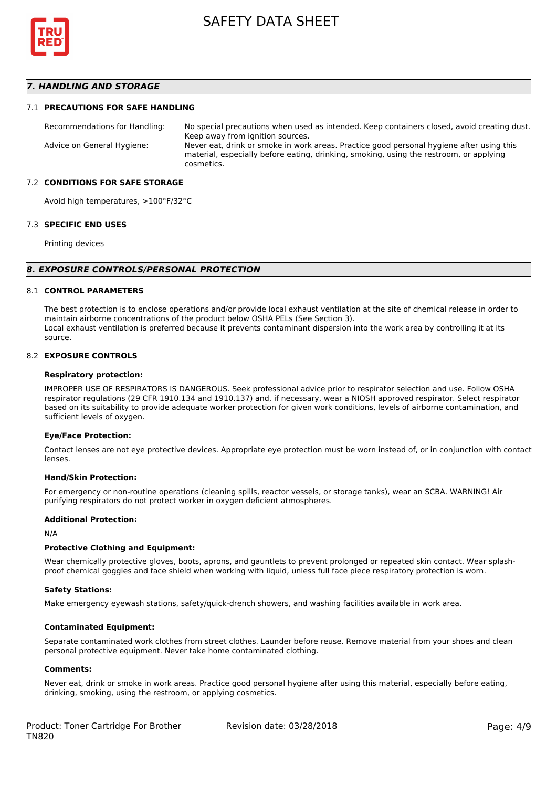

### *7. HANDLING AND STORAGE*

#### 7.1 **PRECAUTIONS FOR SAFE HANDLING**

Recommendations for Handling: No special precautions when used as intended. Keep containers closed, avoid creating dust. Keep away from ignition sources. Advice on General Hygiene: Never eat, drink or smoke in work areas. Practice good personal hygiene after using this material, especially before eating, drinking, smoking, using the restroom, or applying cosmetics.

#### 7.2 **CONDITIONS FOR SAFE STORAGE**

Avoid high temperatures, >100°F/32°C

#### 7.3 **SPECIFIC END USES**

Printing devices

#### *8. EXPOSURE CONTROLS/PERSONAL PROTECTION*

#### 8.1 **CONTROL PARAMETERS**

The best protection is to enclose operations and/or provide local exhaust ventilation at the site of chemical release in order to maintain airborne concentrations of the product below OSHA PELs (See Section 3). Local exhaust ventilation is preferred because it prevents contaminant dispersion into the work area by controlling it at its source.

#### 8.2 **EXPOSURE CONTROLS**

#### **Respiratory protection:**

IMPROPER USE OF RESPIRATORS IS DANGEROUS. Seek professional advice prior to respirator selection and use. Follow OSHA respirator regulations (29 CFR 1910.134 and 1910.137) and, if necessary, wear a NIOSH approved respirator. Select respirator based on its suitability to provide adequate worker protection for given work conditions, levels of airborne contamination, and sufficient levels of oxygen.

#### **Eye/Face Protection:**

Contact lenses are not eye protective devices. Appropriate eye protection must be worn instead of, or in conjunction with contact lenses.

#### **Hand/Skin Protection:**

For emergency or non-routine operations (cleaning spills, reactor vessels, or storage tanks), wear an SCBA. WARNING! Air purifying respirators do not protect worker in oxygen deficient atmospheres.

#### **Additional Protection:**

N/A

#### **Protective Clothing and Equipment:**

Wear chemically protective gloves, boots, aprons, and gauntlets to prevent prolonged or repeated skin contact. Wear splashproof chemical goggles and face shield when working with liquid, unless full face piece respiratory protection is worn.

#### **Safety Stations:**

Make emergency eyewash stations, safety/quick-drench showers, and washing facilities available in work area.

#### **Contaminated Equipment:**

Separate contaminated work clothes from street clothes. Launder before reuse. Remove material from your shoes and clean personal protective equipment. Never take home contaminated clothing.

#### **Comments:**

Never eat, drink or smoke in work areas. Practice good personal hygiene after using this material, especially before eating, drinking, smoking, using the restroom, or applying cosmetics.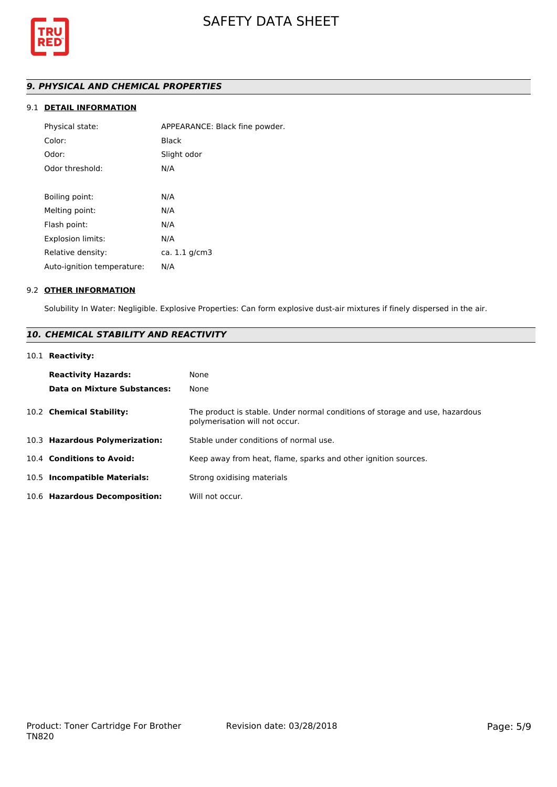

# *9. PHYSICAL AND CHEMICAL PROPERTIES*

# 9.1 **DETAIL INFORMATION**

| Physical state:            | APPEARANCE: Black fine powder. |
|----------------------------|--------------------------------|
| Color:                     | Black                          |
| Odor:                      | Slight odor                    |
| Odor threshold:            | N/A                            |
|                            |                                |
| Boiling point:             | N/A                            |
| Melting point:             | N/A                            |
| Flash point:               | N/A                            |
| <b>Explosion limits:</b>   | N/A                            |
| Relative density:          | ca. 1.1 g/cm3                  |
| Auto-ignition temperature: | N/A                            |

#### 9.2 **OTHER INFORMATION**

Solubility In Water: Negligible. Explosive Properties: Can form explosive dust-air mixtures if finely dispersed in the air.

# *10. CHEMICAL STABILITY AND REACTIVITY*

## 10.1 **Reactivity:**

| <b>Reactivity Hazards:</b><br>Data on Mixture Substances: | None<br>None                                                                                                   |
|-----------------------------------------------------------|----------------------------------------------------------------------------------------------------------------|
| 10.2 Chemical Stability:                                  | The product is stable. Under normal conditions of storage and use, hazardous<br>polymerisation will not occur. |
| 10.3 Hazardous Polymerization:                            | Stable under conditions of normal use.                                                                         |
| 10.4 Conditions to Avoid:                                 | Keep away from heat, flame, sparks and other ignition sources.                                                 |
| 10.5 Incompatible Materials:                              | Strong oxidising materials                                                                                     |
| 10.6 Hazardous Decomposition:                             | Will not occur.                                                                                                |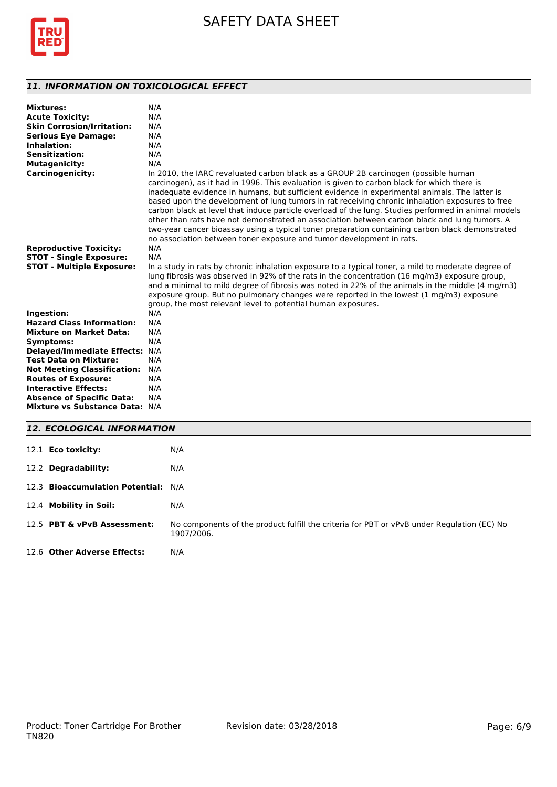

# *11. INFORMATION ON TOXICOLOGICAL EFFECT*

| <b>Mixtures:</b><br><b>Acute Toxicity:</b><br><b>Skin Corrosion/Irritation:</b><br><b>Serious Eye Damage:</b><br>Inhalation:<br><b>Sensitization:</b><br><b>Mutagenicity:</b> | N/A<br>N/A<br>N/A<br>N/A<br>N/A<br>N/A<br>N/A                                                                                                                                                                                                                                                                                                                                                                                                                                                                                                                                                                                                                                                                                                                           |
|-------------------------------------------------------------------------------------------------------------------------------------------------------------------------------|-------------------------------------------------------------------------------------------------------------------------------------------------------------------------------------------------------------------------------------------------------------------------------------------------------------------------------------------------------------------------------------------------------------------------------------------------------------------------------------------------------------------------------------------------------------------------------------------------------------------------------------------------------------------------------------------------------------------------------------------------------------------------|
| <b>Carcinogenicity:</b>                                                                                                                                                       | In 2010, the IARC revaluated carbon black as a GROUP 2B carcinogen (possible human<br>carcinogen), as it had in 1996. This evaluation is given to carbon black for which there is<br>inadequate evidence in humans, but sufficient evidence in experimental animals. The latter is<br>based upon the development of lung tumors in rat receiving chronic inhalation exposures to free<br>carbon black at level that induce particle overload of the lung. Studies performed in animal models<br>other than rats have not demonstrated an association between carbon black and lung tumors. A<br>two-year cancer bioassay using a typical toner preparation containing carbon black demonstrated<br>no association between toner exposure and tumor development in rats. |
| <b>Reproductive Toxicity:</b>                                                                                                                                                 | N/A                                                                                                                                                                                                                                                                                                                                                                                                                                                                                                                                                                                                                                                                                                                                                                     |
| <b>STOT - Single Exposure:</b>                                                                                                                                                | N/A                                                                                                                                                                                                                                                                                                                                                                                                                                                                                                                                                                                                                                                                                                                                                                     |
| <b>STOT - Multiple Exposure:</b>                                                                                                                                              | In a study in rats by chronic inhalation exposure to a typical toner, a mild to moderate degree of<br>lung fibrosis was observed in 92% of the rats in the concentration (16 mg/m3) exposure group,<br>and a minimal to mild degree of fibrosis was noted in 22% of the animals in the middle (4 mg/m3)<br>exposure group. But no pulmonary changes were reported in the lowest $(1 \text{ mg/m3})$ exposure<br>group, the most relevant level to potential human exposures.                                                                                                                                                                                                                                                                                            |
| Ingestion:                                                                                                                                                                    | N/A                                                                                                                                                                                                                                                                                                                                                                                                                                                                                                                                                                                                                                                                                                                                                                     |
| <b>Hazard Class Information:</b>                                                                                                                                              | N/A                                                                                                                                                                                                                                                                                                                                                                                                                                                                                                                                                                                                                                                                                                                                                                     |
| <b>Mixture on Market Data:</b>                                                                                                                                                | N/A                                                                                                                                                                                                                                                                                                                                                                                                                                                                                                                                                                                                                                                                                                                                                                     |
| Symptoms:                                                                                                                                                                     | N/A                                                                                                                                                                                                                                                                                                                                                                                                                                                                                                                                                                                                                                                                                                                                                                     |
| Delayed/Immediate Effects: N/A                                                                                                                                                |                                                                                                                                                                                                                                                                                                                                                                                                                                                                                                                                                                                                                                                                                                                                                                         |
| <b>Test Data on Mixture:</b>                                                                                                                                                  | N/A                                                                                                                                                                                                                                                                                                                                                                                                                                                                                                                                                                                                                                                                                                                                                                     |
| <b>Not Meeting Classification:</b>                                                                                                                                            | N/A                                                                                                                                                                                                                                                                                                                                                                                                                                                                                                                                                                                                                                                                                                                                                                     |
| <b>Routes of Exposure:</b>                                                                                                                                                    | N/A                                                                                                                                                                                                                                                                                                                                                                                                                                                                                                                                                                                                                                                                                                                                                                     |
| <b>Interactive Effects:</b>                                                                                                                                                   | N/A                                                                                                                                                                                                                                                                                                                                                                                                                                                                                                                                                                                                                                                                                                                                                                     |
| <b>Absence of Specific Data:</b>                                                                                                                                              | N/A                                                                                                                                                                                                                                                                                                                                                                                                                                                                                                                                                                                                                                                                                                                                                                     |
| Mixture vs Substance Data: N/A                                                                                                                                                |                                                                                                                                                                                                                                                                                                                                                                                                                                                                                                                                                                                                                                                                                                                                                                         |
|                                                                                                                                                                               |                                                                                                                                                                                                                                                                                                                                                                                                                                                                                                                                                                                                                                                                                                                                                                         |

# *12. ECOLOGICAL INFORMATION*

| 12.1 <b>Eco toxicity:</b>           | N/A                                                                                                      |
|-------------------------------------|----------------------------------------------------------------------------------------------------------|
| 12.2 Degradability:                 | N/A                                                                                                      |
| 12.3 Bioaccumulation Potential: N/A |                                                                                                          |
| 12.4 Mobility in Soil:              | N/A                                                                                                      |
| 12.5 PBT & vPvB Assessment:         | No components of the product fulfill the criteria for PBT or vPvB under Regulation (EC) No<br>1907/2006. |
| 12.6 Other Adverse Effects:         | N/A                                                                                                      |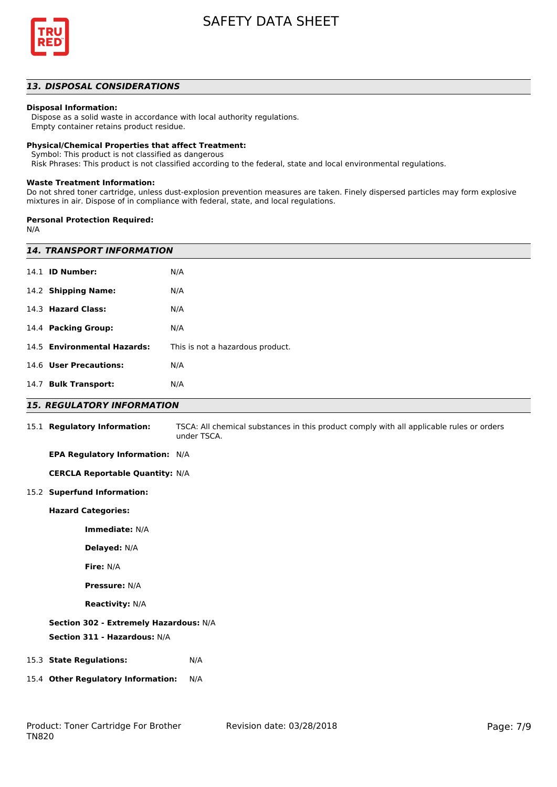

# *13. DISPOSAL CONSIDERATIONS*

#### **Disposal Information:**

 Dispose as a solid waste in accordance with local authority regulations. Empty container retains product residue.

#### **Physical/Chemical Properties that affect Treatment:**

Symbol: This product is not classified as dangerous

Risk Phrases: This product is not classified according to the federal, state and local environmental regulations.

#### **Waste Treatment Information:**

Do not shred toner cartridge, unless dust-explosion prevention measures are taken. Finely dispersed particles may form explosive mixtures in air. Dispose of in compliance with federal, state, and local regulations.

#### **Personal Protection Required:**

N/A

| <b>14. TRANSPORT INFORMATION</b>       |                                                                                                         |  |
|----------------------------------------|---------------------------------------------------------------------------------------------------------|--|
| 14.1 <b>ID Number:</b>                 | N/A                                                                                                     |  |
| 14.2 Shipping Name:                    | N/A                                                                                                     |  |
| 14.3 Hazard Class:                     | N/A                                                                                                     |  |
| 14.4 Packing Group:                    | N/A                                                                                                     |  |
| 14.5 Environmental Hazards:            | This is not a hazardous product.                                                                        |  |
| 14.6 User Precautions:                 | N/A                                                                                                     |  |
| 14.7 Bulk Transport:                   | N/A                                                                                                     |  |
| <b>15. REGULATORY INFORMATION</b>      |                                                                                                         |  |
| 15.1 Regulatory Information:           | TSCA: All chemical substances in this product comply with all applicable rules or orders<br>under TSCA. |  |
| EPA Regulatory Information: N/A        |                                                                                                         |  |
| <b>CERCLA Reportable Quantity: N/A</b> |                                                                                                         |  |
| 15.2 Superfund Information:            |                                                                                                         |  |
| <b>Hazard Categories:</b>              |                                                                                                         |  |
| Immediate: N/A                         |                                                                                                         |  |
| Delayed: N/A                           |                                                                                                         |  |
| Fire: N/A                              |                                                                                                         |  |
| <b>Pressure: N/A</b>                   |                                                                                                         |  |
| <b>Reactivity: N/A</b>                 |                                                                                                         |  |
| Section 302 - Extremely Hazardous: N/A |                                                                                                         |  |
| Section 311 - Hazardous: N/A           |                                                                                                         |  |
| 15.3 State Regulations:                | N/A                                                                                                     |  |
| 15.4 Other Regulatory Information:     | N/A                                                                                                     |  |
|                                        |                                                                                                         |  |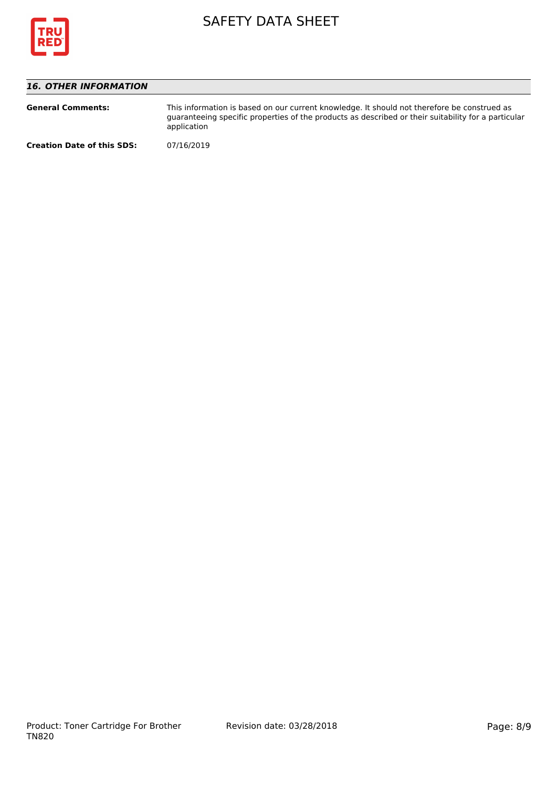

# *16. OTHER INFORMATION*

| <b>General Comments:</b>          | This information is based on our current knowledge. It should not therefore be construed as<br>guaranteeing specific properties of the products as described or their suitability for a particular<br>application |
|-----------------------------------|-------------------------------------------------------------------------------------------------------------------------------------------------------------------------------------------------------------------|
| <b>Creation Date of this SDS:</b> | 07/16/2019                                                                                                                                                                                                        |